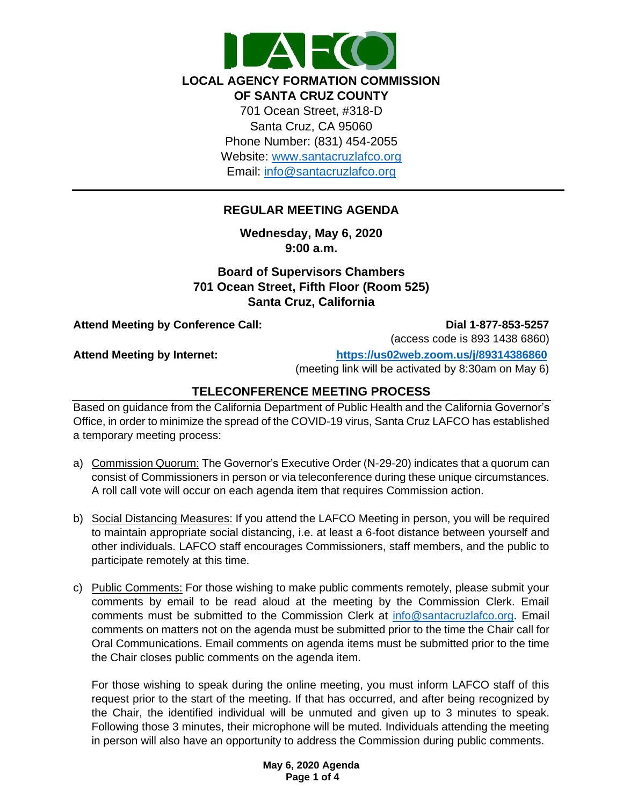

**LOCAL AGENCY FORMATION COMMISSION OF SANTA CRUZ COUNTY**

701 Ocean Street, #318-D Santa Cruz, CA 95060 Phone Number: (831) 454-2055 Website: [www.santacruzlafco.org](http://www.santacruzlafco.org/) Email: [info@santacruzlafco.org](mailto:info@santacruzlafco.org)

# **REGULAR MEETING AGENDA**

**Wednesday, May 6, 2020 9:00 a.m.**

**Board of Supervisors Chambers 701 Ocean Street, Fifth Floor (Room 525) Santa Cruz, California**

Attend Meeting by Conference Call: **Dial 1-877-853-5257** 

(access code is 893 1438 6860)

**Attend Meeting by Internet: <https://us02web.zoom.us/j/89314386860>**

(meeting link will be activated by 8:30am on May 6)

## **TELECONFERENCE MEETING PROCESS**

Based on guidance from the California Department of Public Health and the California Governor's Office, in order to minimize the spread of the COVID-19 virus, Santa Cruz LAFCO has established a temporary meeting process:

- a) Commission Quorum: The Governor's Executive Order (N-29-20) indicates that a quorum can consist of Commissioners in person or via teleconference during these unique circumstances. A roll call vote will occur on each agenda item that requires Commission action.
- b) Social Distancing Measures: If you attend the LAFCO Meeting in person, you will be required to maintain appropriate social distancing, i.e. at least a 6-foot distance between yourself and other individuals. LAFCO staff encourages Commissioners, staff members, and the public to participate remotely at this time.
- c) Public Comments: For those wishing to make public comments remotely, please submit your comments by email to be read aloud at the meeting by the Commission Clerk. Email comments must be submitted to the Commission Clerk at [info@santacruzlafco.org.](mailto:info@santacruzlafco.org) Email comments on matters not on the agenda must be submitted prior to the time the Chair call for Oral Communications. Email comments on agenda items must be submitted prior to the time the Chair closes public comments on the agenda item.

For those wishing to speak during the online meeting, you must inform LAFCO staff of this request prior to the start of the meeting. If that has occurred, and after being recognized by the Chair, the identified individual will be unmuted and given up to 3 minutes to speak. Following those 3 minutes, their microphone will be muted. Individuals attending the meeting in person will also have an opportunity to address the Commission during public comments.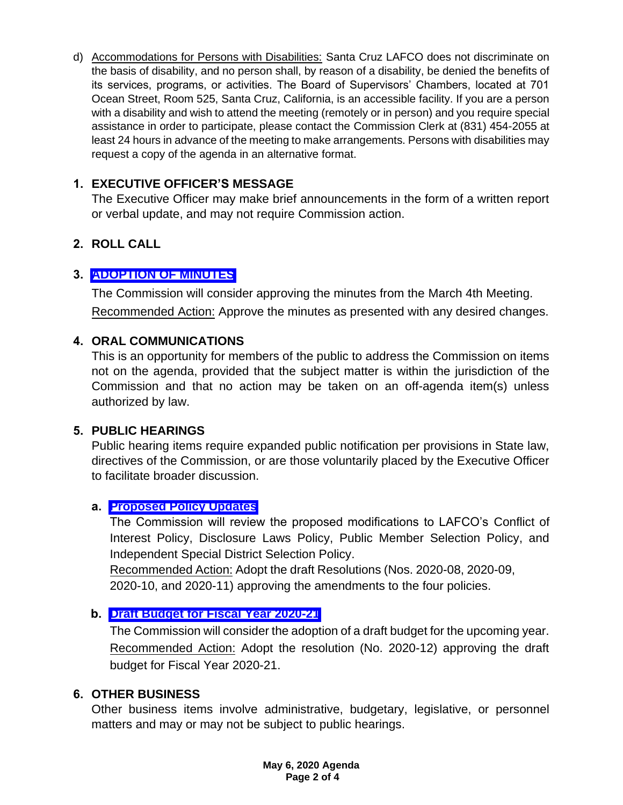d) Accommodations for Persons with Disabilities: Santa Cruz LAFCO does not discriminate on the basis of disability, and no person shall, by reason of a disability, be denied the benefits of its services, programs, or activities. The Board of Supervisors' Chambers, located at 701 Ocean Street, Room 525, Santa Cruz, California, is an accessible facility. If you are a person with a disability and wish to attend the meeting (remotely or in person) and you require special assistance in order to participate, please contact the Commission Clerk at (831) 454-2055 at least 24 hours in advance of the meeting to make arrangements. Persons with disabilities may request a copy of the agenda in an alternative format.

# **1. EXECUTIVE OFFICER'S MESSAGE**

The Executive Officer may make brief announcements in the form of a written report or verbal update, and may not require Commission action.

# **2. ROLL CALL**

## **3. [ADOPTION OF MINUTES](https://www.santacruzlafco.org/wp-content/uploads/2020/04/3.0-Draft-Minutes-3-4-20.pdf)**

The Commission will consider approving the minutes from the March 4th Meeting. Recommended Action: Approve the minutes as presented with any desired changes.

## **4. ORAL COMMUNICATIONS**

This is an opportunity for members of the public to address the Commission on items not on the agenda, provided that the subject matter is within the jurisdiction of the Commission and that no action may be taken on an off-agenda item(s) unless authorized by law.

## **5. PUBLIC HEARINGS**

Public hearing items require expanded public notification per provisions in State law, directives of the Commission, or are those voluntarily placed by the Executive Officer to facilitate broader discussion.

## **a. [Proposed Policy Updates](https://www.santacruzlafco.org/wp-content/uploads/2020/04/5a.0-Policy-Updates-Staff-Report.pdf)**

The Commission will review the proposed modifications to LAFCO's Conflict of Interest Policy, Disclosure Laws Policy, Public Member Selection Policy, and Independent Special District Selection Policy.

Recommended Action: Adopt the draft Resolutions (Nos. 2020-08, 2020-09, 2020-10, and 2020-11) approving the amendments to the four policies.

## **b. [Draft Budget for Fiscal Year 2020-21](https://www.santacruzlafco.org/wp-content/uploads/2020/04/5b.0-Draft-Budget-Staff-Report-FINAL.pdf)**

The Commission will consider the adoption of a draft budget for the upcoming year. Recommended Action: Adopt the resolution (No. 2020-12) approving the draft budget for Fiscal Year 2020-21.

## **6. OTHER BUSINESS**

Other business items involve administrative, budgetary, legislative, or personnel matters and may or may not be subject to public hearings.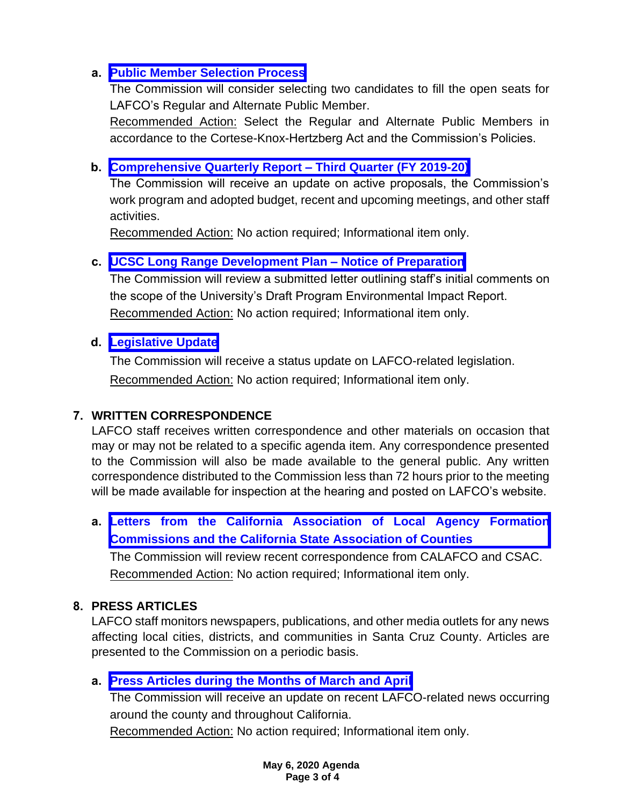## **a. [Public Member Selection Process](https://www.santacruzlafco.org/wp-content/uploads/2020/04/6a.0-Public-Member-Seats-Staff-Report.pdf)**

The Commission will consider selecting two candidates to fill the open seats for LAFCO's Regular and Alternate Public Member.

Recommended Action: Select the Regular and Alternate Public Members in accordance to the Cortese-Knox-Hertzberg Act and the Commission's Policies.

## **b. [Comprehensive Quarterly Report –](https://www.santacruzlafco.org/wp-content/uploads/2020/04/6b.0-Comp-Quarterly-Update-Staff-Report.pdf) Third Quarter (FY 2019-20)**

The Commission will receive an update on active proposals, the Commission's work program and adopted budget, recent and upcoming meetings, and other staff activities.

Recommended Action: No action required; Informational item only.

## **c. [UCSC Long Range Development Plan –](https://www.santacruzlafco.org/wp-content/uploads/2020/04/6c.0-UCSC-Comment-Letter-Staff-Report.pdf) Notice of Preparation**

The Commission will review a submitted letter outlining staff's initial comments on the scope of the University's Draft Program Environmental Impact Report. Recommended Action: No action required; Informational item only.

## **d. [Legislative Update](https://www.santacruzlafco.org/wp-content/uploads/2020/04/6d.0-Leg-Update-Staff-Report.pdf)**

The Commission will receive a status update on LAFCO-related legislation. Recommended Action: No action required; Informational item only.

# **7. WRITTEN CORRESPONDENCE**

LAFCO staff receives written correspondence and other materials on occasion that may or may not be related to a specific agenda item. Any correspondence presented to the Commission will also be made available to the general public. Any written correspondence distributed to the Commission less than 72 hours prior to the meeting will be made available for inspection at the hearing and posted on LAFCO's website.

**a. [Letters from the California Association of Local Agency Formation](https://www.santacruzlafco.org/wp-content/uploads/2020/04/7a.0-Written-Correspondence-Staff-Report.pdf) Commissions and the California State Association of Counties**

The Commission will review recent correspondence from CALAFCO and CSAC. Recommended Action: No action required; Informational item only.

# **8. PRESS ARTICLES**

LAFCO staff monitors newspapers, publications, and other media outlets for any news affecting local cities, districts, and communities in Santa Cruz County. Articles are presented to the Commission on a periodic basis.

# **a. [Press Articles during the Months of March and April](https://www.santacruzlafco.org/wp-content/uploads/2020/04/8a.0-Press-Articles-Staff-Report.pdf)**

The Commission will receive an update on recent LAFCO-related news occurring around the county and throughout California.

Recommended Action: No action required; Informational item only.